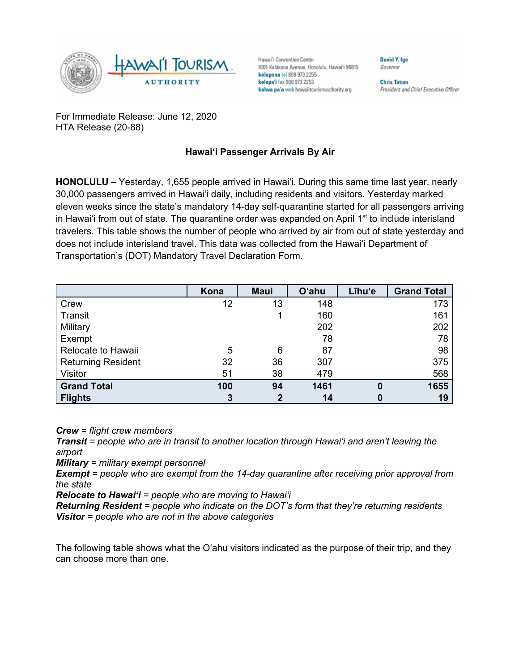

Hawai'i Convention Center 1801 Kalākaua Avenue, Honolulu, Hawai'i 96815 kelepona tel 808 973 2255 kelepa'i fax 808 973 2253 kahua pa'a web hawaiitourismauthority.org

**Chris Tatum** President and Chief Executive Officer

**David V Ine** 

Governor

For Immediate Release: June 12, 2020 HTA Release (20-88)

## **Hawai'i Passenger Arrivals By Air**

**HONOLULU –** Yesterday, 1,655 people arrived in Hawai'i. During this same time last year, nearly 30,000 passengers arrived in Hawai'i daily, including residents and visitors. Yesterday marked eleven weeks since the state's mandatory 14-day self-quarantine started for all passengers arriving in Hawai'i from out of state. The quarantine order was expanded on April  $1<sup>st</sup>$  to include interisland travelers. This table shows the number of people who arrived by air from out of state yesterday and does not include interisland travel. This data was collected from the Hawai'i Department of Transportation's (DOT) Mandatory Travel Declaration Form.

|                           | Kona | <b>Maui</b>  | <b>O'ahu</b> | Līhu'e   | <b>Grand Total</b> |
|---------------------------|------|--------------|--------------|----------|--------------------|
| Crew                      | 12   | 13           | 148          |          | 173                |
| Transit                   |      |              | 160          |          | 161                |
| Military                  |      |              | 202          |          | 202                |
| Exempt                    |      |              | 78           |          | 78                 |
| Relocate to Hawaii        | 5    | 6            | 87           |          | 98                 |
| <b>Returning Resident</b> | 32   | 36           | 307          |          | 375                |
| Visitor                   | 51   | 38           | 479          |          | 568                |
| <b>Grand Total</b>        | 100  | 94           | 1461         | $\bf{0}$ | 1655               |
| <b>Flights</b>            | 3    | $\mathbf{2}$ | 14           |          | 19                 |

*Crew = flight crew members*

*Transit = people who are in transit to another location through Hawai'i and aren't leaving the airport*

*Military = military exempt personnel*

*Exempt = people who are exempt from the 14-day quarantine after receiving prior approval from the state*

*Relocate to Hawai'i = people who are moving to Hawai'i*

*Returning Resident = people who indicate on the DOT's form that they're returning residents Visitor = people who are not in the above categories*

The following table shows what the O'ahu visitors indicated as the purpose of their trip, and they can choose more than one.